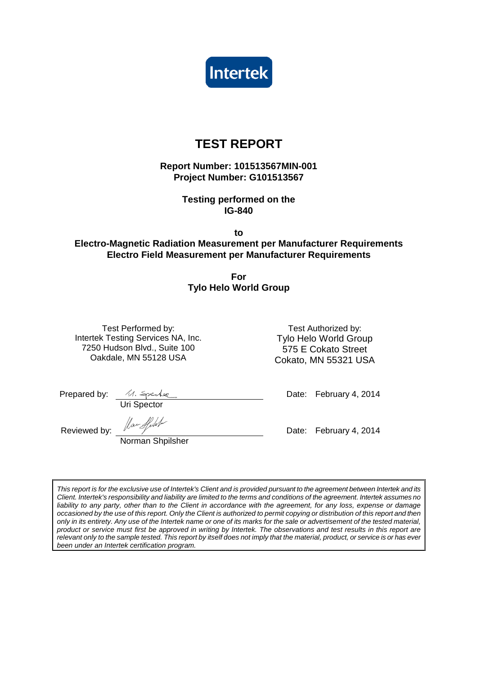

# **TEST REPORT**

**Report Number: 101513567MIN-001 Project Number: G101513567** 

> **Testing performed on the IG-840**

> > **to**

# **Electro-Magnetic Radiation Measurement per Manufacturer Requirements Electro Field Measurement per Manufacturer Requirements**

**For Tylo Helo World Group** 

Test Performed by: Test Authorized by: Intertek Testing Services NA, Inc. 7250 Hudson Blvd., Suite 100 Oakdale, MN 55128 USA

Tylo Helo World Group 575 E Cokato Street Cokato, MN 55321 USA

Uri Spector

Prepared by: Date: February 4, 2014

Reviewed by:  $\sqrt{2\pi}$  Max Apple 100 minutes of the Date: February 4, 2014

Norman Shpilsher

This report is for the exclusive use of Intertek's Client and is provided pursuant to the agreement between Intertek and its Client. Intertek's responsibility and liability are limited to the terms and conditions of the agreement. Intertek assumes no liability to any party, other than to the Client in accordance with the agreement, for any loss, expense or damage occasioned by the use of this report. Only the Client is authorized to permit copying or distribution of this report and then only in its entirety. Any use of the Intertek name or one of its marks for the sale or advertisement of the tested material, product or service must first be approved in writing by Intertek. The observations and test results in this report are relevant only to the sample tested. This report by itself does not imply that the material, product, or service is or has ever been under an Intertek certification program.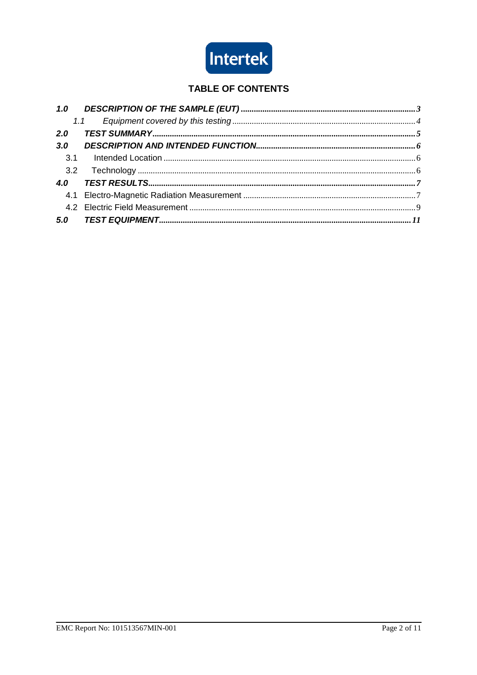

# **TABLE OF CONTENTS**

|     | 1.1 |  |
|-----|-----|--|
| 2.0 |     |  |
| 3.0 |     |  |
| 3.1 |     |  |
|     |     |  |
| 4.0 |     |  |
|     |     |  |
|     |     |  |
|     |     |  |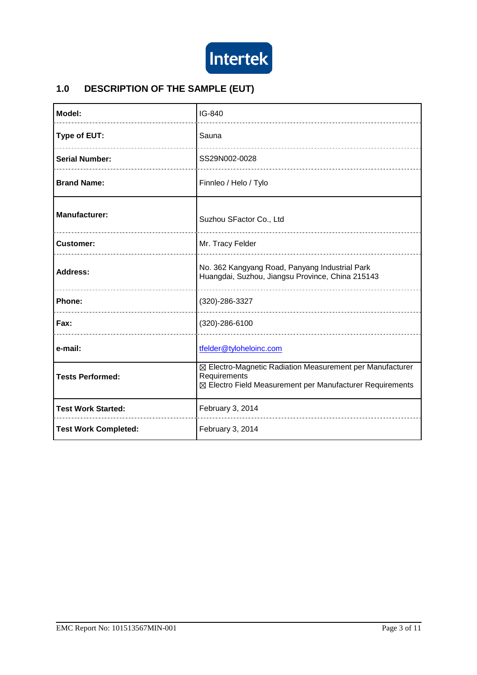

# **1.0 DESCRIPTION OF THE SAMPLE (EUT)**

| Model:                      | IG-840                                                                                                                                 |  |  |
|-----------------------------|----------------------------------------------------------------------------------------------------------------------------------------|--|--|
| Type of EUT:                | Sauna                                                                                                                                  |  |  |
| <b>Serial Number:</b>       | SS29N002-0028                                                                                                                          |  |  |
| <b>Brand Name:</b>          | Finnleo / Helo / Tylo                                                                                                                  |  |  |
| <b>Manufacturer:</b>        | Suzhou SFactor Co., Ltd                                                                                                                |  |  |
| <b>Customer:</b>            | Mr. Tracy Felder                                                                                                                       |  |  |
| Address:                    | No. 362 Kangyang Road, Panyang Industrial Park<br>Huangdai, Suzhou, Jiangsu Province, China 215143                                     |  |  |
| Phone:                      | (320)-286-3327                                                                                                                         |  |  |
| Fax:                        | (320)-286-6100                                                                                                                         |  |  |
| e-mail:                     | tfelder@tyloheloinc.com                                                                                                                |  |  |
| <b>Tests Performed:</b>     | ⊠ Electro-Magnetic Radiation Measurement per Manufacturer<br>Requirements<br>⊠ Electro Field Measurement per Manufacturer Requirements |  |  |
| <b>Test Work Started:</b>   | February 3, 2014                                                                                                                       |  |  |
| <b>Test Work Completed:</b> | February 3, 2014                                                                                                                       |  |  |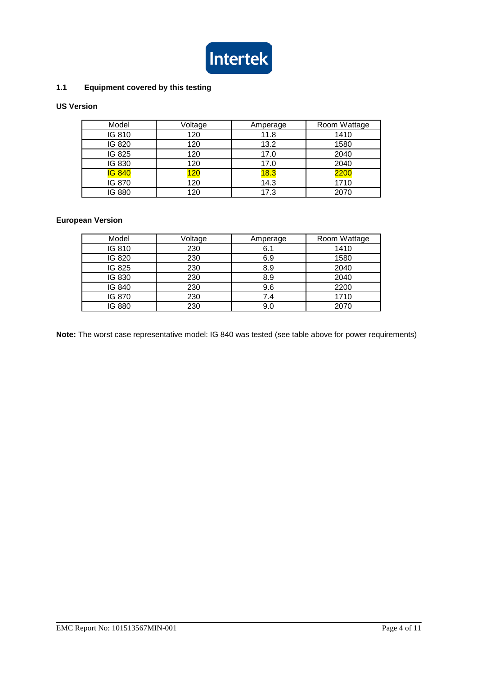

## **1.1 Equipment covered by this testing**

## **US Version**

| Model         | Voltage |      | Room Wattage |
|---------------|---------|------|--------------|
| IG 810        | 120     | 11.8 | 1410         |
| IG 820        | 120     | 13.2 | 1580         |
| IG 825        | 120     | 17.0 | 2040         |
| IG 830        | 120     | 17.0 | 2040         |
| <b>IG 840</b> | 120     | 18.3 | 2200         |
| IG 870        | 120     | 14.3 | 1710         |
| IG 880        | 120     | 17.3 | 2070         |

# **European Version**

| Model  | Voltage |     | Room Wattage |  |
|--------|---------|-----|--------------|--|
| IG 810 | 230     | 6.1 | 1410         |  |
| IG 820 | 230     | 6.9 | 1580         |  |
| IG 825 | 230     | 8.9 | 2040         |  |
| IG 830 | 230     | 8.9 | 2040         |  |
| IG 840 | 230     | 9.6 | 2200         |  |
| IG 870 | 230     | 7.4 | 1710         |  |
| IG 880 | 230     | 9.0 | 2070         |  |

**Note:** The worst case representative model: IG 840 was tested (see table above for power requirements)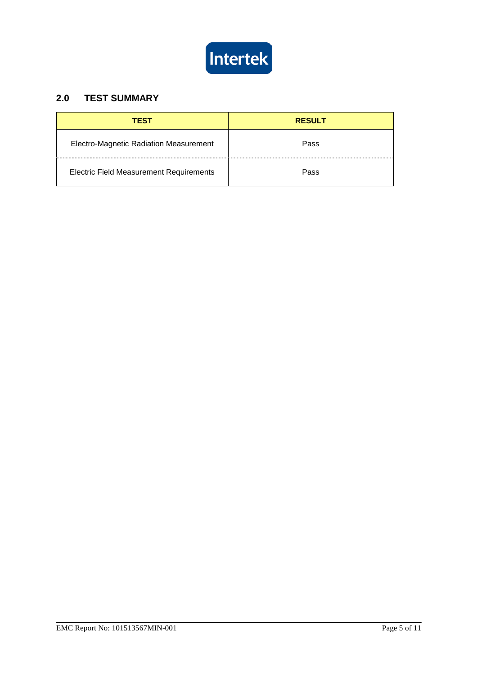

# **2.0 TEST SUMMARY**

| <b>TEST</b>                                    | <b>RESULT</b> |
|------------------------------------------------|---------------|
| Electro-Magnetic Radiation Measurement         | Pass          |
| <b>Electric Field Measurement Requirements</b> | Pass          |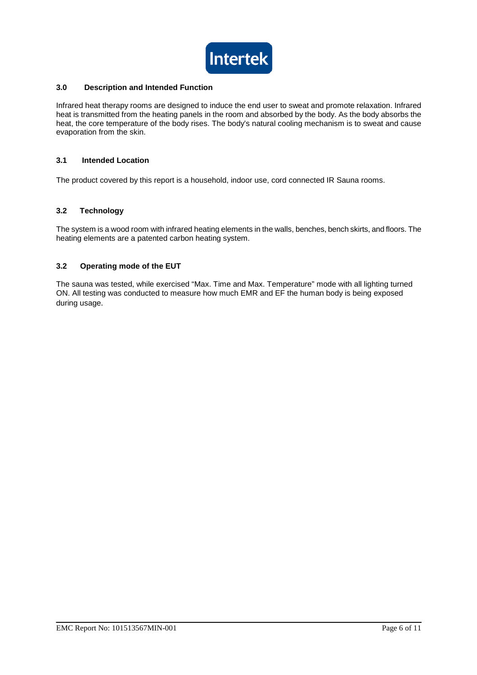

#### **3.0 Description and Intended Function**

Infrared heat therapy rooms are designed to induce the end user to sweat and promote relaxation. Infrared heat is transmitted from the heating panels in the room and absorbed by the body. As the body absorbs the heat, the core temperature of the body rises. The body's natural cooling mechanism is to sweat and cause evaporation from the skin.

#### **3.1 Intended Location**

The product covered by this report is a household, indoor use, cord connected IR Sauna rooms.

#### **3.2 Technology**

The system is a wood room with infrared heating elements in the walls, benches, bench skirts, and floors. The heating elements are a patented carbon heating system.

#### **3.2 Operating mode of the EUT**

The sauna was tested, while exercised "Max. Time and Max. Temperature" mode with all lighting turned ON. All testing was conducted to measure how much EMR and EF the human body is being exposed during usage.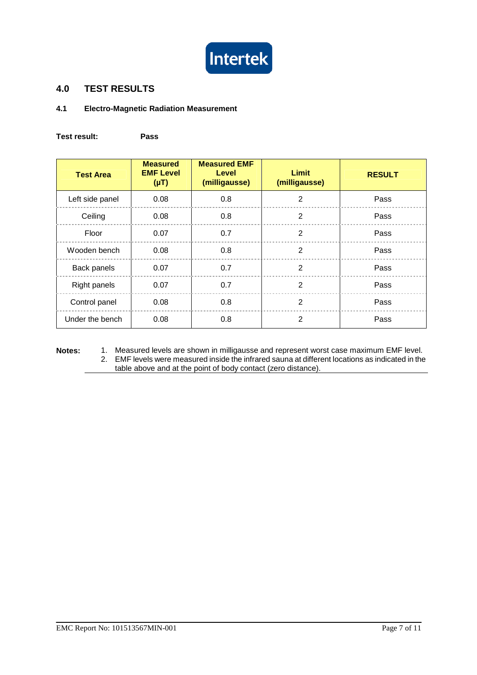

# **4.0 TEST RESULTS**

### **4.1 Electro-Magnetic Radiation Measurement**

**Test result: Pass** 

| <b>Test Area</b> | <b>Measured</b><br><b>EMF Level</b><br>$(\mu T)$ | <b>Measured EMF</b><br><b>Level</b><br>(milligausse) | Limit<br>(milligausse) | <b>RESULT</b> |
|------------------|--------------------------------------------------|------------------------------------------------------|------------------------|---------------|
| Left side panel  | 2<br>0.8<br>0.08                                 |                                                      | Pass                   |               |
| Ceiling          | 0.08                                             | 0.8                                                  | 2                      | Pass          |
| Floor            | 0.07                                             | 0.7                                                  | $\mathfrak{p}$         | Pass          |
| Wooden bench     | 0.08                                             | 0.8                                                  | 2                      | Pass          |
| Back panels      | 0.07                                             | 0.7                                                  | $\overline{2}$         | Pass          |
| Right panels     | 0.07                                             | 0.7                                                  | $\overline{2}$         | Pass          |
| Control panel    | 0.08                                             | 0.8                                                  | $\mathfrak{p}$         | Pass          |
| Under the bench  | 0.08                                             | 0.8                                                  | $\mathfrak{p}$         | Pass          |

**Notes:** 1. Measured levels are shown in milligausse and represent worst case maximum EMF level. 2. EMF levels were measured inside the infrared sauna at different locations as indicated in the table above and at the point of body contact (zero distance).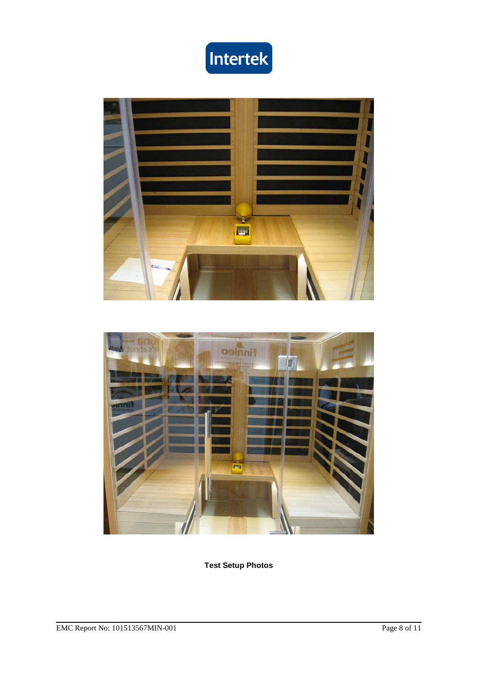





**Test Setup Photos**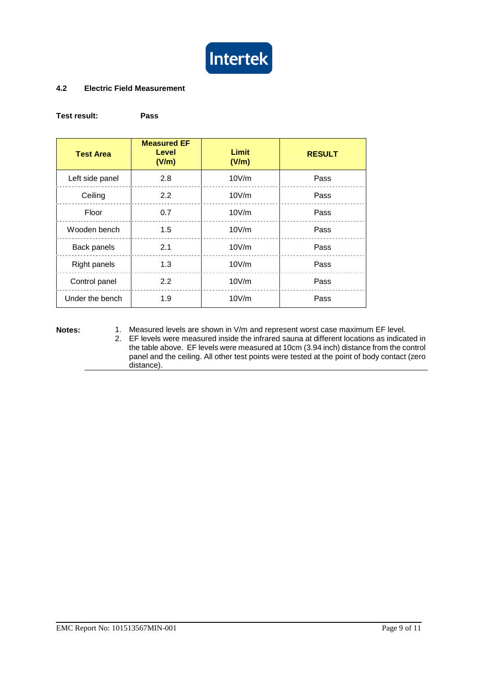

#### **4.2 Electric Field Measurement**

#### **Test result: Pass**

| <b>Test Area</b>    | <b>Measured EF</b><br>Level<br>(V/m) | Limit<br>(V/m) | <b>RESULT</b> |
|---------------------|--------------------------------------|----------------|---------------|
| Left side panel     | 2.8                                  | 10V/m          | Pass          |
| Ceiling             | 2.2                                  | 10V/m          | Pass          |
| Floor               | 0.7                                  | 10V/m          | Pass          |
| Wooden bench        | 1.5                                  | 10V/m          | Pass          |
| Back panels         | 2.1                                  | 10V/m          | Pass          |
| <b>Right panels</b> | 1.3                                  | 10V/m          | Pass          |
| Control panel       | 2.2                                  | 10V/m          | Pass          |
| Under the bench     | 1.9                                  | 10V/m          | Pass          |

**Notes:** 1. Measured levels are shown in V/m and represent worst case maximum EF level.

2. EF levels were measured inside the infrared sauna at different locations as indicated in the table above. EF levels were measured at 10cm (3.94 inch) distance from the control panel and the ceiling. All other test points were tested at the point of body contact (zero distance).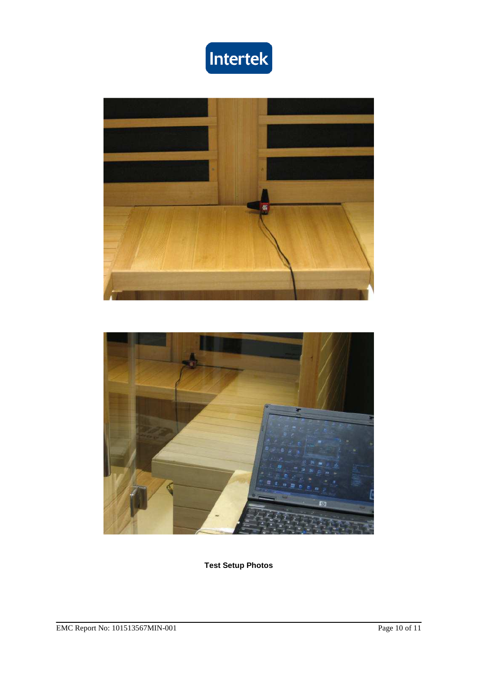





**Test Setup Photos**